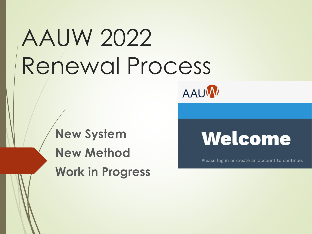# AAUW 2022 Renewal Process



**New System New Method Work in Progress**

Please log in or create an account to continue.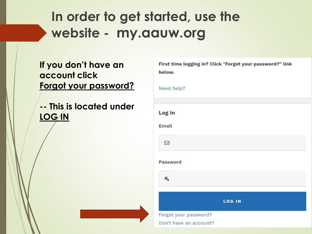## **In order to get started, use the website - my.aauw.org**

**If you don't have an account click Forgot your password?**

**-- This is located under LOG IN**

| below.                                          | First time logging in? Click "Forgot your password?" link |
|-------------------------------------------------|-----------------------------------------------------------|
| Need help?                                      |                                                           |
| Log In                                          |                                                           |
| Email                                           |                                                           |
| $\Box$                                          |                                                           |
| Password                                        |                                                           |
| $\mathbf{a}_{k}$                                |                                                           |
|                                                 | <b>LOG IN</b>                                             |
| Forgot your password?<br>Don't have an account? |                                                           |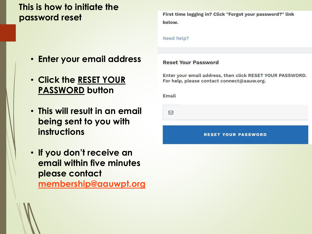## **This is how to initiate the password reset**

- **Enter your email address**
- **Click the RESET YOUR PASSWORD button**
- **This will result in an email being sent to you with instructions**
- **If you don't receive an email within five minutes please contact [membership@aauwpt.org](mailto:membership@aauwpt.org)**

First time logging in? Click "Forgot your password?" link below.

Need help?

### **Reset Your Password**

Enter your email address, then click RESET YOUR PASSWORD. For help, please contact connect@aauw.org.

**Email** 

 $\nabla$ 

**RESET YOUR PASSWORD** 

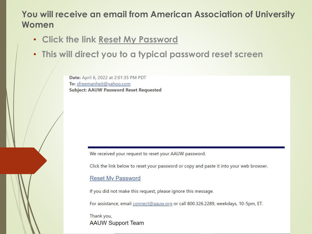## **You will receive an email from American Association of University Women**

- **Click the link Reset My Password**
- **This will direct you to a typical password reset screen**

Date: April 6, 2022 at 2:01:35 PM PDT To: sfreemanheit@yahoo.com **Subject: AAUW Password Reset Requested** 

We received your request to reset your AAUW password.

Click the link below to reset your password or copy and paste it into your web browser.

### **Reset My Password**

If you did not make this request, please ignore this message.

For assistance, email connect@aauw.org or call 800.326.2289, weekdays, 10-5pm, ET.

Thank you, **AAUW Support Team**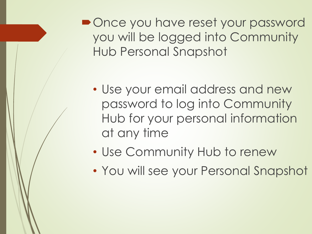• Once you have reset your password you will be logged into Community Hub Personal Snapshot

- Use your email address and new password to log into Community Hub for your personal information at any time
- Use Community Hub to renew
- You will see your Personal Snapshot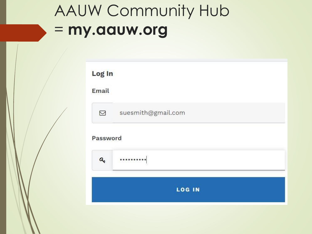## AAUW Community Hub = **my.aauw.org**

| Email |                    |
|-------|--------------------|
| ☑     | suesmith@gmail.com |
| a.    |                    |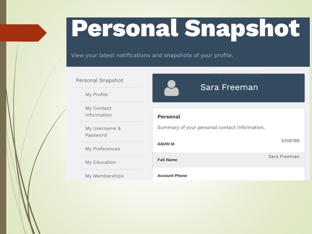# **Personal Snapshot**

View your latest notifications and snapshots of your profile.

### Personal Snapshot

My Profile

My Contact Information

My Username & Password

My Preferences

My Education

My Memberships

## Personal Summary of your personal contact information. 5356186 **AAUW Id** Sara Freeman **Full Name Account Phone**

Sara Freeman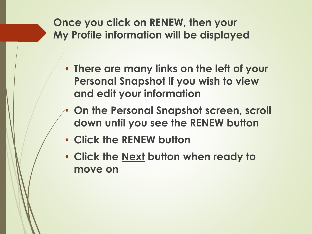**Once you click on RENEW, then your My Profile information will be displayed**

- **There are many links on the left of your Personal Snapshot if you wish to view and edit your information**
- **On the Personal Snapshot screen, scroll down until you see the RENEW button**
- **Click the RENEW button**
- **Click the Next button when ready to move on**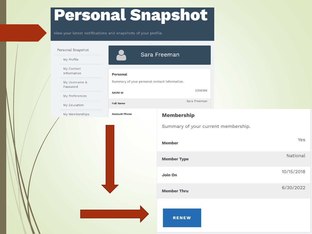## **Personal Snapshot**

View your latest notifications and snapshots of your profile.

|  | Personal Snapshot         |                                                          | Sara Freeman                        |            |  |
|--|---------------------------|----------------------------------------------------------|-------------------------------------|------------|--|
|  | My Profile                |                                                          |                                     |            |  |
|  | My Contact<br>Information | Personal                                                 |                                     |            |  |
|  | My Username &<br>Password | Summary of your personal contact information.<br>5356186 |                                     |            |  |
|  | My Preferences            | <b>AAUW Id</b>                                           |                                     |            |  |
|  | My Education              | <b>Full Name</b>                                         | Sara Freeman                        |            |  |
|  | My Memberships            | <b>Account Phone</b>                                     | <b>Membership</b>                   |            |  |
|  |                           |                                                          | Summary of your current membership. |            |  |
|  |                           |                                                          | <b>Member</b>                       | Yes        |  |
|  |                           |                                                          | <b>Member Type</b>                  | National   |  |
|  |                           |                                                          | Join On                             | 10/15/2018 |  |
|  |                           |                                                          | <b>Member Thru</b>                  | 6/30/2022  |  |
|  |                           |                                                          | <b>RENEW</b>                        |            |  |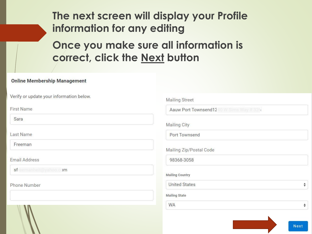## The next screen will display your Profile information for any editing

Once you make sure all information is correct, click the Next button

#### **Online Membership Management**

Verify or update your information below.

**First Name** 

Sara

Last Name

Freeman

**Email Address** 

sfreemanheit@yahoo.com

Phone Number

| Aauw Port Townsend1240 W Sims Way # 326 |                                   |
|-----------------------------------------|-----------------------------------|
| Mailing City                            |                                   |
| Port Townsend                           |                                   |
| Mailing Zip/Postal Code                 |                                   |
| 98368-3058                              |                                   |
| <b>Mailing Country</b>                  |                                   |
| <b>United States</b>                    | $\frac{\triangle}{\triangledown}$ |
| <b>Mailing State</b>                    |                                   |
| <b>WA</b>                               | ♦                                 |

**Next**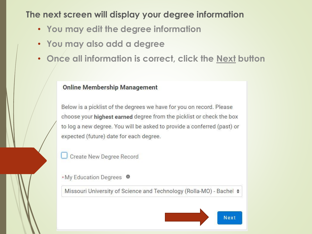## **The next screen will display your degree information**

- **You may edit the degree information**
- **You may also add a degree**
- **Once all information is correct, click the Next button**

### **Online Membership Management**

Below is a picklist of the degrees we have for you on record. Please choose your highest earned degree from the picklist or check the box to log a new degree. You will be asked to provide a conferred (past) or expected (future) date for each degree.

**Create New Degree Record** 

\*My Education Degrees <sup>O</sup>

Missouri University of Science and Technology (Rolla-MO) - Bachel  $\div$ 

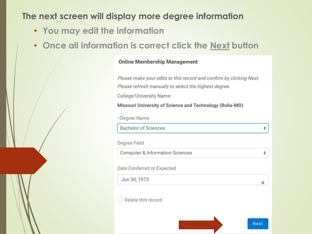## **The next screen will display more degree information**

- **You may edit the information**
- **Once all information is correct click the Next button**

### **Online Membership Management**

Please make your edits to this record and confirm by clicking Next. Please refresh manually to select the highest degree.

College/University Name:

Missouri University of Science and Technology (Rolla-MO)

| *Degree Name                               |      |
|--------------------------------------------|------|
| <b>Bachelor of Sciences</b>                |      |
| Degree Field                               |      |
| <b>Computer &amp; Information Sciences</b> |      |
| Date Conferred or Expected                 |      |
| Jun 30, 1973                               | 繭    |
| Delete this record                         |      |
|                                            |      |
|                                            | Next |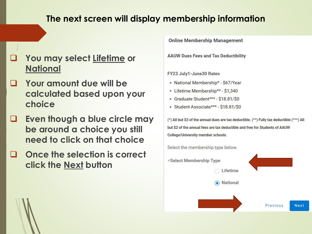### **The next screen will display membership information**

- ❑ **You may select Lifetime or National**
- ❑ **Your amount due will be calculated based upon your choice**
- ❑ **Even though a blue circle may be around a choice you still need to click on that choice**
- ❑ **Once the selection is correct click the Next button**

**Online Membership Management** 

**AAUW Dues Fees and Tax Deductibility** 

FY23 July1-June30 Rates

- National Membership\* \$67/Year
- Lifetime Membership\*\* \$1,340
- · Graduate Student\*\*\* \$18.81/\$0
- Student Associate\*\*\* \$18.81/\$0

(\*) All but \$3 of the annual dues are tax deductible. (\*\*) Fully tax deductible (\*\*\*) All but \$2 of the annual fees are tax deductible and free for Students of AAUW College/University member schools.

Select the membership type below.

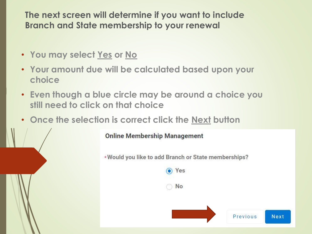**The next screen will determine if you want to include Branch and State membership to your renewal**

- **You may select Yes or No**
- **Your amount due will be calculated based upon your choice**
- **Even though a blue circle may be around a choice you still need to click on that choice**
- **Once the selection is correct click the Next button**

**Online Membership Management** \*Would you like to add Branch or State memberships? O Yes **No Next** Previous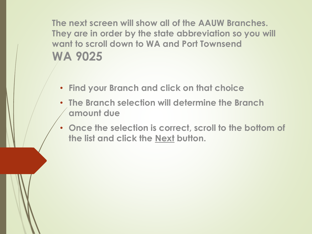**The next screen will show all of the AAUW Branches. They are in order by the state abbreviation so you will want to scroll down to WA and Port Townsend WA 9025**

- **Find your Branch and click on that choice**
- **The Branch selection will determine the Branch amount due**
- **Once the selection is correct, scroll to the bottom of the list and click the Next button.**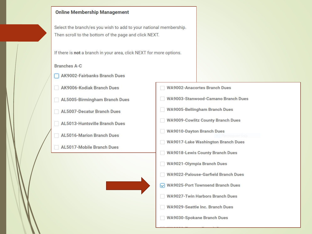#### **Online Membership Management**

Select the branch/es you wish to add to your national membership. Then scroll to the bottom of the page and click NEXT.

If there is not a branch in your area, click NEXT for more options.

#### **Branches A-C**

- **AK9002-Fairbanks Branch Dues**
- AK9006-Kodiak Branch Dues
- AL5005-Birmingham Branch Dues
- AL5007-Decatur Branch Dues
- AL5013-Huntsville Branch Dues
	- **AL5016-Marion Branch Dues**
- AL5017-Mobile Branch Dues L.
- **WA9002-Anacortes Branch Dues**
- WA9003-Stanwood-Camano Branch Dues
- WA9005-Bellingham Branch Dues
- WA9009-Cowlitz County Branch Dues
- WA9010-Dayton Branch Dues
- WA9017-Lake Washington Branch Dues
- WA9018-Lewis County Branch Dues
- WA9021-Olympia Branch Dues
- **WA9022-Palouse-Garfield Branch Dues**
- $\sqrt{ }$  WA9025-Port Townsend Branch Dues
- **WA9027-Twin Harbors Branch Dues**
- **WA9029-Seattle Inc. Branch Dues**
- **WA9030-Spokane Branch Dues**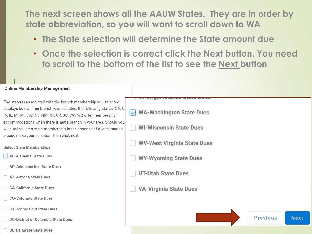**The next screen shows all the AAUW States. They are in order by state abbreviation, so you will want to scroll down to WA**

- **The State selection will determine the State amount due**
- **Once the selection is correct click the Next button. You need to scroll to the bottom of the list to see the Next button**

| <b>Online Membership Management</b>                                                                                                                                                                                                                                                                                                                         |                                                                                               |          |      |
|-------------------------------------------------------------------------------------------------------------------------------------------------------------------------------------------------------------------------------------------------------------------------------------------------------------------------------------------------------------|-----------------------------------------------------------------------------------------------|----------|------|
| The state(s) associated with the branch membership you selected<br>displays below. If no branch was selected, the following states (CA, CI<br>A, IL, MI, MT, NC, NJ, NM, NY, OR, SC, WA, WI) offer membership<br>accommodations when there is not a branch in your area. Should you<br>wish to include a state membership in the absence of a local branch, | <b>WA-Washington State Dues</b><br>$\vert \mathbf{v} \vert$<br><b>WI-Wisconsin State Dues</b> |          |      |
| please make your selection, then click next.                                                                                                                                                                                                                                                                                                                | <b>WV-West Virginia State Dues</b>                                                            |          |      |
| <b>Select State Memberships</b><br>AL-Alabama State Dues                                                                                                                                                                                                                                                                                                    | <b>WY-Wyoming State Dues</b>                                                                  |          |      |
| <b>AR-Arkansas Inc. State Dues</b><br><b>AZ-Arizona State Dues</b>                                                                                                                                                                                                                                                                                          | <b>UT-Utah State Dues</b>                                                                     |          |      |
| <b>CA-California State Dues</b>                                                                                                                                                                                                                                                                                                                             | <b>VA-Virginia State Dues</b>                                                                 |          |      |
| <b>CO-Colorado State Dues</b>                                                                                                                                                                                                                                                                                                                               |                                                                                               |          |      |
| <b>CT-Connecticut State Dues</b><br><b>DC-District of Columbia State Dues</b>                                                                                                                                                                                                                                                                               |                                                                                               | Previous | Next |

DE-Delaware State Dues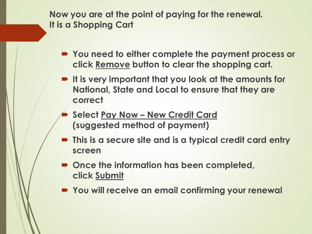**Now you are at the point of paying for the renewal. It is a Shopping Cart**

- **You need to either complete the payment process or click Remove button to clear the shopping cart.**
- **It is very important that you look at the amounts for National, State and Local to ensure that they are correct**
	- **Select Pay Now – New Credit Card (suggested method of payment)**
- **This is a secure site and is a typical credit card entry screen**
- Once the information has been completed, **click Submit**
- **You will receive an email confirming your renewal**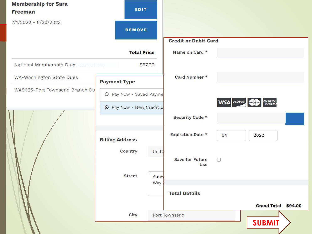